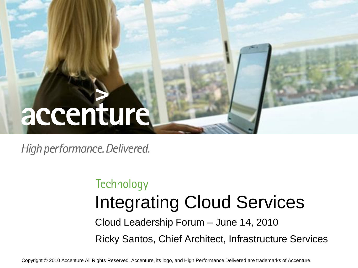# accenture

High performance. Delivered.

### Technology Integrating Cloud Services Cloud Leadership Forum – June 14, 2010 Ricky Santos, Chief Architect, Infrastructure Services

Copyright © 2010 Accenture All Rights Reserved. Accenture, its logo, and High Performance Delivered are trademarks of Accenture.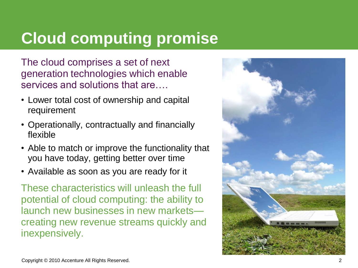## **Cloud computing promise**

The cloud comprises a set of next generation technologies which enable services and solutions that are….

- Lower total cost of ownership and capital requirement
- Operationally, contractually and financially flexible
- Able to match or improve the functionality that you have today, getting better over time
- Available as soon as you are ready for it

These characteristics will unleash the full potential of cloud computing: the ability to launch new businesses in new markets creating new revenue streams quickly and inexpensively.

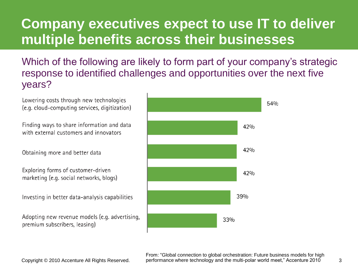### **Company executives expect to use IT to deliver multiple benefits across their businesses**

Which of the following are likely to form part of your company's strategic response to identified challenges and opportunities over the next five years?



Copyright © 2010 Accenture All Rights Reserved. The performance where technology and the multi-polar world meet," Accenture 2010 3 From: "Global connection to global orchestration: Future business models for high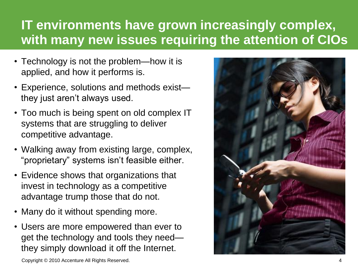### **IT environments have grown increasingly complex, with many new issues requiring the attention of CIOs**

- Technology is not the problem—how it is applied, and how it performs is.
- Experience, solutions and methods exist they just aren't always used.
- Too much is being spent on old complex IT systems that are struggling to deliver competitive advantage.
- Walking away from existing large, complex, "proprietary" systems isn't feasible either.
- Evidence shows that organizations that invest in technology as a competitive advantage trump those that do not.
- Many do it without spending more.
- Users are more empowered than ever to get the technology and tools they need they simply download it off the Internet.



Copyright © 2010 Accenture All Rights Reserved. 4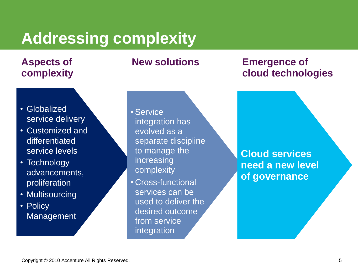### **Addressing complexity**

### **Aspects of complexity**

#### • Globalized service delivery

- Customized and differentiated service levels
- Technology advancements, proliferation
- Multisourcing
- Policy **Management**

• Service integration has evolved as a separate discipline to manage the increasing complexity

• Cross-functional services can be used to deliver the desired outcome from service integration

### **New solutions Emergence of cloud technologies**

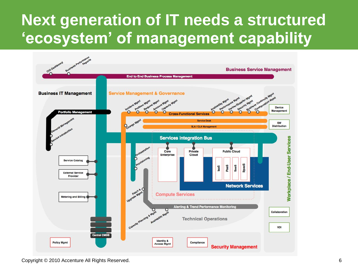### **Next generation of IT needs a structured 'ecosystem' of management capability**



Copyright © 2010 Accenture All Rights Reserved. 6